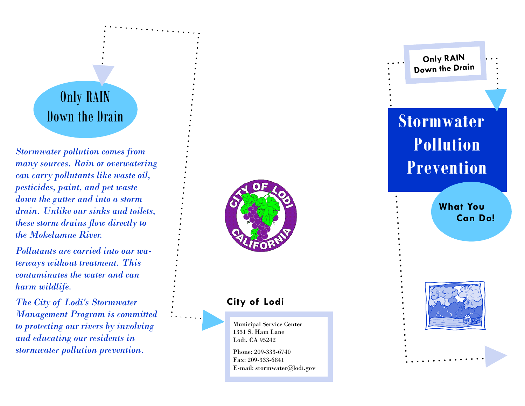# Only RAIN

*Stormwater pollution comes from many sources. Rain or overwatering can carry pollutants like waste oil, pesticides, paint, and pet waste down the gutter and into a storm drain. Unlike our sinks and toilets, these storm drains flow directly to the Mokelumne River.* 

*Pollutants are carried into our waterways without treatment. This contaminates the water and can harm wildlife.* 

*The City of Lodi's Stormwater Management Program is committed to protecting our rivers by involving and educating our residents in stormwater pollution prevention.* 



### **City of Lodi**

Municipal Service Center 1331 S. Ham Lane Lodi, CA 95242

Phone: 209-333-6740 Fax: 209-333-6841 E-mail: stormwater@lodi.gov

# **Down the Drain**   $\vdots$  **Stormwater Pollution Prevention**

**Only R AIN D o w n th e Drain**

> **What You Can Do!**